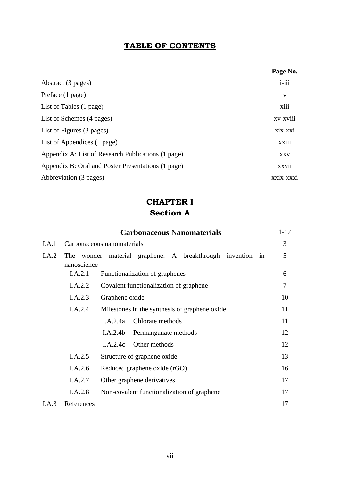## **TABLE OF CONTENTS**

|                                                    | Page No.   |
|----------------------------------------------------|------------|
| Abstract (3 pages)                                 | $i$ -iii   |
| Preface (1 page)                                   | V          |
| List of Tables (1 page)                            | xiii       |
| List of Schemes (4 pages)                          | xv-xviii   |
| List of Figures (3 pages)                          | xix-xxi    |
| List of Appendices (1 page)                        | xxiii      |
| Appendix A: List of Research Publications (1 page) | <b>XXV</b> |
| Appendix B: Oral and Poster Presentations (1 page) | xxvii      |
| Abbreviation (3 pages)                             | xxix-xxxi  |

# **CHAPTER I Section A**

|       |                                         | <b>Carbonaceous Nanomaterials</b>                     | $1 - 17$ |
|-------|-----------------------------------------|-------------------------------------------------------|----------|
| I.A.1 |                                         | Carbonaceous nanomaterials                            | 3        |
| I.A.2 | The<br>nanoscience                      | wonder material graphene: A breakthrough invention in | 5        |
|       | I.A.2.1                                 | Functionalization of graphenes                        | 6        |
|       | I.A.2.2                                 | Covalent functionalization of graphene                | 7        |
|       | I.A.2.3                                 | Graphene oxide                                        | 10       |
|       | I.A.2.4                                 | Milestones in the synthesis of graphene oxide.        | 11       |
|       |                                         | Chlorate methods<br>I.A.2.4a                          | 11       |
|       |                                         | I.A.2.4b<br>Permanganate methods                      | 12       |
|       |                                         | I.A.2.4c Other methods                                | 12       |
|       | I.A.2.5                                 | Structure of graphene oxide                           | 13       |
|       | I.A.2.6<br>Reduced graphene oxide (rGO) |                                                       |          |
|       | I.A.2.7                                 | Other graphene derivatives                            | 17       |
|       | I.A.2.8                                 | Non-covalent functionalization of graphene            | 17       |
| I.A.3 | References                              |                                                       | 17       |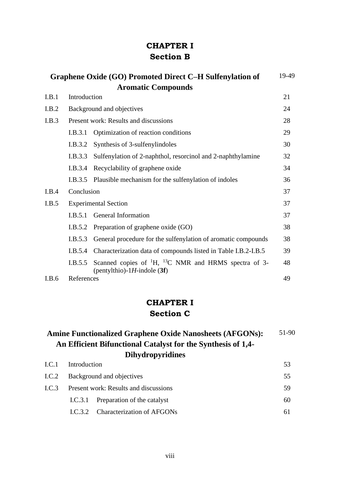### **CHAPTER I Section B**

|       |                             | Graphene Oxide (GO) Promoted Direct C-H Sulfenylation of                                             | 19-49 |
|-------|-----------------------------|------------------------------------------------------------------------------------------------------|-------|
|       |                             | <b>Aromatic Compounds</b>                                                                            |       |
| I.B.1 | Introduction                |                                                                                                      | 21    |
| I.B.2 |                             | Background and objectives                                                                            | 24    |
| I.B.3 |                             | Present work: Results and discussions                                                                | 28    |
|       | I.B.3.1                     | Optimization of reaction conditions                                                                  | 29    |
|       | I.B.3.2                     | Synthesis of 3-sulfenylindoles                                                                       | 30    |
|       | I.B.3.3                     | Sulfenylation of 2-naphthol, resorcinol and 2-naphthylamine                                          | 32    |
|       | I.B.3.4                     | Recyclability of graphene oxide                                                                      | 34    |
|       | I.B.3.5                     | Plausible mechanism for the sulfenylation of indoles                                                 | 36    |
| I.B.4 | Conclusion                  |                                                                                                      | 37    |
| I.B.5 | <b>Experimental Section</b> |                                                                                                      |       |
|       | I.B.5.1                     | General Information                                                                                  | 37    |
|       | I.B.5.2                     | Preparation of graphene oxide (GO)                                                                   | 38    |
|       | I.B.5.3                     | General procedure for the sulfenylation of aromatic compounds                                        | 38    |
|       | I.B.5.4                     | Characterization data of compounds listed in Table I.B.2-I.B.5                                       | 39    |
|       | I.B.5.5                     | Scanned copies of ${}^{1}H$ , ${}^{13}C$ NMR and HRMS spectra of 3-<br>(pentylthio)-1H-indole $(3f)$ | 48    |
| I.B.6 | References                  |                                                                                                      | 49    |

### **CHAPTER I Section C**

#### **Amine Functionalized Graphene Oxide Nanosheets (AFGONs): An Efficient Bifunctional Catalyst for the Synthesis of 1,4- Dihydropyridines** 51-90

| I.C.2 Background and objectives               |  |                                                                                                 |  |
|-----------------------------------------------|--|-------------------------------------------------------------------------------------------------|--|
| Present work: Results and discussions<br>LC.3 |  |                                                                                                 |  |
|                                               |  | 60                                                                                              |  |
|                                               |  | 61                                                                                              |  |
|                                               |  | I.C.1 Introduction<br>I.C.3.1 Preparation of the catalyst<br>I.C.3.2 Characterization of AFGONs |  |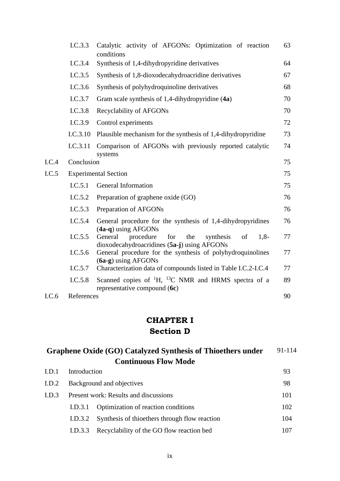|       | I.C.3.3    | Catalytic activity of AFGONs: Optimization of reaction<br>conditions                                           | 63 |
|-------|------------|----------------------------------------------------------------------------------------------------------------|----|
|       | I.C.3.4    | Synthesis of 1,4-dihydropyridine derivatives                                                                   | 64 |
|       | I.C.3.5    | Synthesis of 1,8-dioxodecahydroacridine derivatives                                                            | 67 |
|       | I.C.3.6    | Synthesis of polyhydroquinoline derivatives                                                                    | 68 |
|       | I.C.3.7    | Gram scale synthesis of 1,4-dihydropyridine (4a)                                                               | 70 |
|       | I.C.3.8    | <b>Recyclability of AFGONs</b>                                                                                 | 70 |
|       | I.C.3.9    | Control experiments                                                                                            | 72 |
|       | I.C.3.10   | Plausible mechanism for the synthesis of 1,4-dihydropyridine                                                   | 73 |
|       | I.C.3.11   | Comparison of AFGONs with previously reported catalytic<br>systems                                             | 74 |
| LC.4  | Conclusion |                                                                                                                | 75 |
| LC.5  |            | <b>Experimental Section</b>                                                                                    | 75 |
|       | I.C.5.1    | General Information                                                                                            | 75 |
|       | I.C.5.2    | Preparation of graphene oxide (GO)                                                                             | 76 |
|       | I.C.5.3    | Preparation of AFGONs                                                                                          | 76 |
|       | I.C.5.4    | General procedure for the synthesis of 1,4-dihydropyridines<br>$(4a-q)$ using AFGONs                           | 76 |
|       | I.C.5.5    | General<br>procedure<br>for<br>the<br>of<br>$1,8-$<br>synthesis<br>dioxodecahydroacridines (5a-j) using AFGONs | 77 |
|       | I.C.5.6    | General procedure for the synthesis of polyhydroquinolines<br>$(6a-g)$ using AFGONs                            | 77 |
|       | I.C.5.7    | Characterization data of compounds listed in Table I.C.2-I.C.4                                                 | 77 |
|       | I.C.5.8    | Scanned copies of ${}^{1}H$ , ${}^{13}C$ NMR and HRMS spectra of a<br>representative compound (6c)             | 89 |
| I.C.6 | References |                                                                                                                | 90 |

## **CHAPTER I Section D**

| Graphene Oxide (GO) Catalyzed Synthesis of Thioethers under |  |  |
|-------------------------------------------------------------|--|--|
| <b>Continuous Flow Mode</b>                                 |  |  |

| I.D.1            |                                       | Introduction                                  |     |  |
|------------------|---------------------------------------|-----------------------------------------------|-----|--|
| I.D.2            | Background and objectives             |                                               |     |  |
| L <sub>D.3</sub> | Present work: Results and discussions | 101                                           |     |  |
|                  | I.D.3.1                               | Optimization of reaction conditions           | 102 |  |
|                  | I.D.3.2                               | Synthesis of thioethers through flow reaction | 104 |  |
|                  | I.D.3.3                               | Recyclability of the GO flow reaction bed     | 107 |  |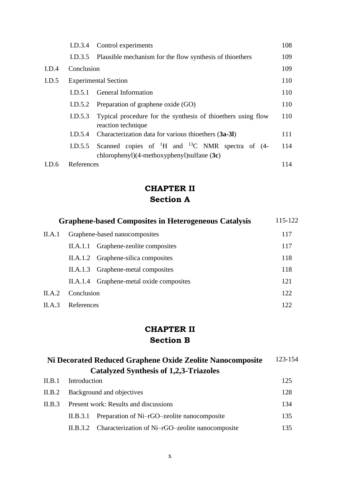|       | I.D.3.4    | Control experiments                                                                                               | 108 |
|-------|------------|-------------------------------------------------------------------------------------------------------------------|-----|
|       | I.D.3.5    | Plausible mechanism for the flow synthesis of thioethers                                                          | 109 |
| I.D.4 | Conclusion |                                                                                                                   | 109 |
| I.D.5 |            | <b>Experimental Section</b>                                                                                       | 110 |
|       | LD.5.1     | General Information                                                                                               | 110 |
|       | I.D.5.2    | Preparation of graphene oxide (GO)                                                                                | 110 |
|       | I.D.5.3    | Typical procedure for the synthesis of thioethers using flow<br>reaction technique                                | 110 |
|       | I.D.5.4    | Characterization data for various thioethers (3a-3l)                                                              | 111 |
|       | I.D.5.5    | Scanned copies of ${}^{1}H$ and ${}^{13}C$ NMR spectra of (4-<br>chlorophenyl) $(4$ -methoxyphenyl)sulfane $(3c)$ | 114 |
| I.D.6 | References |                                                                                                                   | 114 |

## **CHAPTER II Section A**

|        | <b>Graphene-based Composites in Heterogeneous Catalysis</b> |                                          |     |
|--------|-------------------------------------------------------------|------------------------------------------|-----|
| II.A.1 | Graphene-based nanocomposites                               |                                          |     |
|        |                                                             | II.A.1.1 Graphene-zeolite composites     | 117 |
|        | II.A.1.2 Graphene-silica composites                         |                                          |     |
|        | II.A.1.3 Graphene-metal composites                          |                                          | 118 |
|        |                                                             | II.A.1.4 Graphene-metal oxide composites | 121 |
| II.A.2 | Conclusion                                                  |                                          | 122 |
| II.A.3 | References                                                  |                                          | 122 |

## **CHAPTER II Section B**

| Ni Decorated Reduced Graphene Oxide Zeolite Nanocomposite |              |                                                  | 123-154 |
|-----------------------------------------------------------|--------------|--------------------------------------------------|---------|
|                                                           |              | <b>Catalyzed Synthesis of 1,2,3-Triazoles</b>    |         |
| II.B.1                                                    | Introduction |                                                  | 125     |
| II.B.2                                                    |              | Background and objectives                        | 128     |
| II.B.3                                                    |              | Present work: Results and discussions            | 134     |
|                                                           | II.B.3.1     | Preparation of Ni-rGO-zeolite nanocomposite      | 135     |
|                                                           | II.B.3.2     | Characterization of Ni-rGO-zeolite nanocomposite | 135     |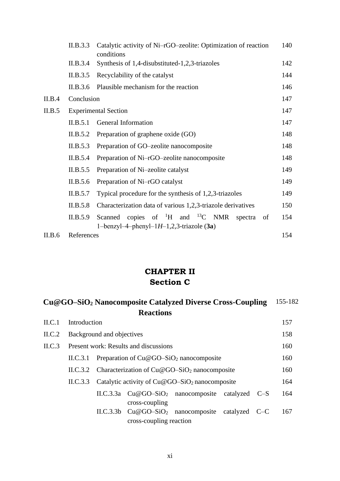|        | II.B.3.3   | Catalytic activity of Ni-rGO-zeolite: Optimization of reaction<br>conditions                                    | 140 |  |  |  |
|--------|------------|-----------------------------------------------------------------------------------------------------------------|-----|--|--|--|
|        | II.B.3.4   | Synthesis of 1,4-disubstituted-1,2,3-triazoles                                                                  | 142 |  |  |  |
|        | II.B.3.5   | Recyclability of the catalyst                                                                                   | 144 |  |  |  |
|        | II.B.3.6   | Plausible mechanism for the reaction                                                                            |     |  |  |  |
| II.B.4 | Conclusion |                                                                                                                 | 147 |  |  |  |
| II.B.5 |            | <b>Experimental Section</b>                                                                                     | 147 |  |  |  |
|        | II.B.5.1   | General Information                                                                                             | 147 |  |  |  |
|        | II.B.5.2   | Preparation of graphene oxide (GO)                                                                              | 148 |  |  |  |
|        | II.B.5.3   | Preparation of GO-zeolite nanocomposite                                                                         | 148 |  |  |  |
|        | II.B.5.4   | Preparation of Ni-rGO-zeolite nanocomposite                                                                     | 148 |  |  |  |
|        | II.B.5.5   | Preparation of Ni-zeolite catalyst                                                                              | 149 |  |  |  |
|        | II.B.5.6   | Preparation of Ni-rGO catalyst                                                                                  | 149 |  |  |  |
|        | II.B.5.7   | Typical procedure for the synthesis of 1,2,3-triazoles                                                          | 149 |  |  |  |
|        | II.B.5.8   | Characterization data of various 1,2,3-triazole derivatives                                                     | 150 |  |  |  |
|        | II.B.5.9   | Scanned copies of ${}^{1}H$ and ${}^{13}C$ NMR<br>spectra<br>of<br>1-benzyl-4-phenyl-1 $H$ -1,2,3-triazole (3a) | 154 |  |  |  |
| II.B.6 | References |                                                                                                                 | 154 |  |  |  |

### **CHAPTER II Section C**

| Cu@GO-SiO <sub>2</sub> Nanocomposite Catalyzed Diverse Cross-Coupling |                                                           |                           |                                                       |                                                  |           | 155-182 |     |
|-----------------------------------------------------------------------|-----------------------------------------------------------|---------------------------|-------------------------------------------------------|--------------------------------------------------|-----------|---------|-----|
|                                                                       |                                                           |                           | <b>Reactions</b>                                      |                                                  |           |         |     |
| ILC.1                                                                 | Introduction                                              |                           |                                                       |                                                  |           |         | 157 |
| ILC.2                                                                 |                                                           | Background and objectives |                                                       |                                                  |           |         | 158 |
| ILC.3                                                                 |                                                           |                           | Present work: Results and discussions                 |                                                  |           |         | 160 |
| Preparation of $Cu@GO-SiO2$ nanocomposite<br>ILC.3.1                  |                                                           |                           |                                                       |                                                  |           | 160     |     |
|                                                                       | Characterization of $Cu@GO-SiO2$ nanocomposite<br>ILC.3.2 |                           |                                                       |                                                  |           |         | 160 |
|                                                                       | II.C.3.3                                                  |                           |                                                       | Catalytic activity of $Cu@GO-SiO2$ nanocomposite |           |         | 164 |
|                                                                       |                                                           |                           | cross-coupling                                        | II.C.3.3a $Cu@GO-SiO2$ nanocomposite             | catalyzed | $C-S$   | 164 |
|                                                                       |                                                           | ILC.3.3 <sub>b</sub>      | $Cu@GO-SiO2$ nanocomposite<br>cross-coupling reaction |                                                  | catalyzed | $C-C$   | 167 |